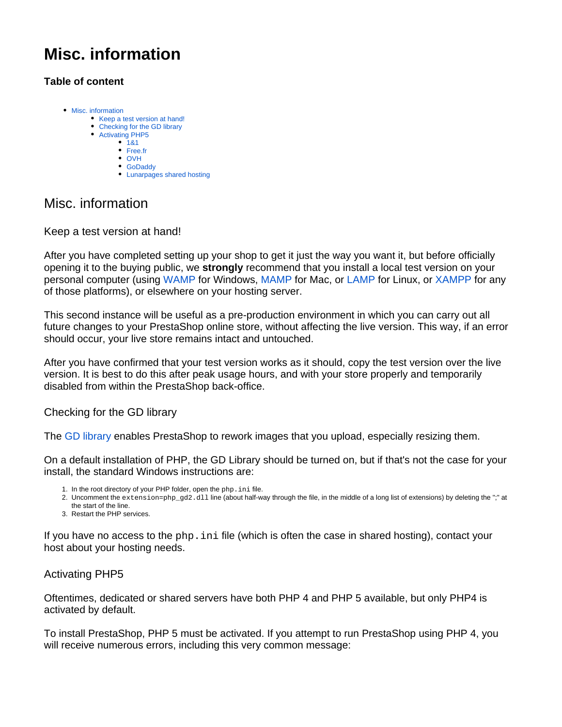# **Misc. information**

## **Table of content**

- [Misc. information](#page-0-0)
	- [Keep a test version at hand!](#page-0-1)
	- [Checking for the GD library](#page-0-2)
	- [Activating PHP5](#page-0-3)
		- $181$ [Free.fr](#page-1-1)
		- [OVH](#page-1-2)
		- [GoDaddy](#page-1-3)
		- [Lunarpages shared hosting](#page-2-0)

## <span id="page-0-0"></span>Misc. information

## <span id="page-0-1"></span>Keep a test version at hand!

After you have completed setting up your shop to get it just the way you want it, but before officially opening it to the buying public, we **strongly** recommend that you install a local test version on your personal computer (using [WAMP](http://en.wikipedia.org/wiki/Comparison_of_WAMPs) for Windows, [MAMP](http://en.wikipedia.org/wiki/MAMP) for Mac, or [LAMP](http://en.wikipedia.org/wiki/LAMP_%28software_bundle) for Linux, or [XAMPP](http://www.apachefriends.org/en/xampp.html) for any of those platforms), or elsewhere on your hosting server.

This second instance will be useful as a pre-production environment in which you can carry out all future changes to your PrestaShop online store, without affecting the live version. This way, if an error should occur, your live store remains intact and untouched.

After you have confirmed that your test version works as it should, copy the test version over the live version. It is best to do this after peak usage hours, and with your store properly and temporarily disabled from within the PrestaShop back-office.

<span id="page-0-2"></span>Checking for the GD library

The [GD library](http://www.boutell.com/gd/) enables PrestaShop to rework images that you upload, especially resizing them.

On a default installation of PHP, the GD Library should be turned on, but if that's not the case for your install, the standard Windows instructions are:

- 1. In the root directory of your PHP folder, open the php.ini file.
- 2. Uncomment the extension=php\_gd2.dll line (about half-way through the file, in the middle of a long list of extensions) by deleting the ";" at the start of the line.
- 3. Restart the PHP services.

If you have no access to the  $_{\rm php}$ , ini file (which is often the case in shared hosting), contact your host about your hosting needs.

## <span id="page-0-3"></span>Activating PHP5

Oftentimes, dedicated or shared servers have both PHP 4 and PHP 5 available, but only PHP4 is activated by default.

To install PrestaShop, PHP 5 must be activated. If you attempt to run PrestaShop using PHP 4, you will receive numerous errors, including this very common message: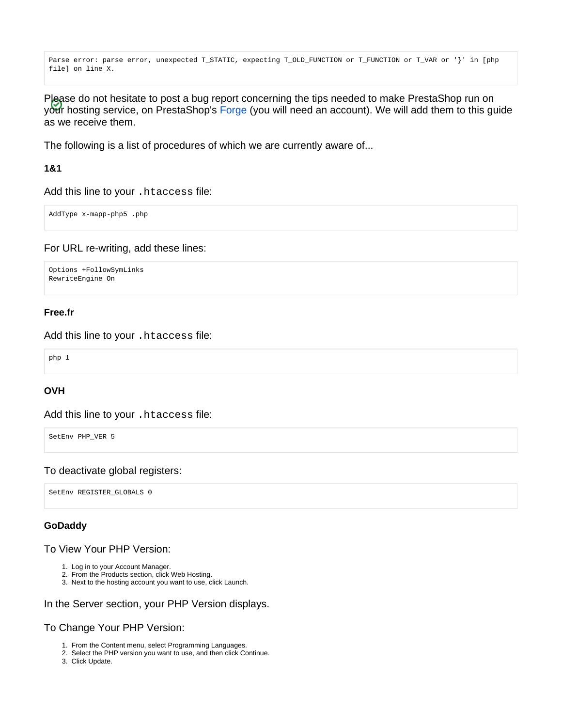```
Parse error: parse error, unexpected T_STATIC, expecting T_OLD_FUNCTION or T_FUNCTION or T_VAR or '}' in [php
file] on line X.
```
Please do not hesitate to post a bug report concerning the tips needed to make PrestaShop run on your hosting service, on PrestaShop's [Forge](http://forge.prestashop.com/) (you will need an account). We will add them to this guide as we receive them.

The following is a list of procedures of which we are currently aware of...

#### <span id="page-1-0"></span>**1&1**

Add this line to your .htaccess file:

AddType x-mapp-php5 .php

For URL re-writing, add these lines:

```
Options +FollowSymLinks
RewriteEngine On
```
#### <span id="page-1-1"></span>**Free.fr**

Add this line to your .htaccess file:

php 1

#### <span id="page-1-2"></span>**OVH**

Add this line to your .htaccess file:

SetEnv PHP VER 5

#### To deactivate global registers:

SetEnv REGISTER\_GLOBALS 0

#### <span id="page-1-3"></span>**GoDaddy**

To View Your PHP Version:

- 1. Log in to your Account Manager.
- 2. From the Products section, click Web Hosting.
- 3. Next to the hosting account you want to use, click Launch.

#### In the Server section, your PHP Version displays.

#### To Change Your PHP Version:

- 1. From the Content menu, select Programming Languages.
- 2. Select the PHP version you want to use, and then click Continue.
- 3. Click Update.